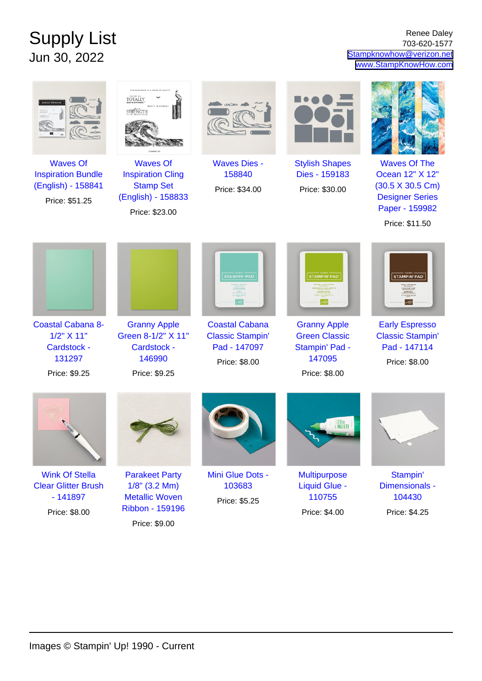## Supply List Jun 30, 2022

Renee Daley 703-620-1577 [Stampknowhow@verizon.net](mailto:Stampknowhow@verizon.net) [www.StampKnowHow.com](http://www.StampKnowHow.com)

|                                                                                         | OUR FRIENDSHIP IS A THING OF BEAUT<br><b>TOTALLY</b><br>STRENGTH                                        |                                                                                   |                                                                                          |                                                                                                                                         |
|-----------------------------------------------------------------------------------------|---------------------------------------------------------------------------------------------------------|-----------------------------------------------------------------------------------|------------------------------------------------------------------------------------------|-----------------------------------------------------------------------------------------------------------------------------------------|
| <b>Waves Of</b><br><b>Inspiration Bundle</b><br>(English) - 158841<br>Price: \$51.25    | <b>Waves Of</b><br><b>Inspiration Cling</b><br><b>Stamp Set</b><br>(English) - 158833<br>Price: \$23.00 | <b>Waves Dies -</b><br>158840<br>Price: \$34.00                                   | <b>Stylish Shapes</b><br>Dies - 159183<br>Price: \$30.00                                 | <b>Waves Of The</b><br>Ocean 12" X 12"<br>$(30.5 \times 30.5 \text{ Cm})$<br><b>Designer Series</b><br>Paper - 159982<br>Price: \$11.50 |
|                                                                                         |                                                                                                         | <b>STAMPIN' PAD</b>                                                               | <b>STAMPIN' PAD</b>                                                                      | <b>STAMPIN' PAD</b><br>トーリーエスプレッ                                                                                                        |
| <b>Coastal Cabana 8-</b><br>1/2" X 11"<br><b>Cardstock -</b><br>131297<br>Price: \$9.25 | <b>Granny Apple</b><br>Green 8-1/2" X 11"<br>Cardstock -<br>146990<br>Price: \$9.25                     | <b>Coastal Cabana</b><br><b>Classic Stampin'</b><br>Pad - 147097<br>Price: \$8.00 | <b>Granny Apple</b><br><b>Green Classic</b><br>Stampin' Pad -<br>147095<br>Price: \$8.00 | <b>Early Espresso</b><br><b>Classic Stampin'</b><br>Pad - 147114<br>Price: \$8.00                                                       |
|                                                                                         |                                                                                                         |                                                                                   | <b>MULT</b>                                                                              |                                                                                                                                         |
| <b>Wink Of Stella</b><br><b>Clear Glitter Brush</b><br>$-141897$<br>Price: \$8.00       | <b>Parakeet Party</b><br>$1/8$ " (3.2 Mm)<br><b>Metallic Woven</b><br><b>Ribbon - 159196</b>            | Mini Glue Dots -<br>103683<br>Price: \$5.25                                       | <b>Multipurpose</b><br><b>Liquid Glue -</b><br>110755<br>Price: \$4.00                   | Stampin'<br>Dimensionals -<br>104430<br>Price: \$4.25                                                                                   |

Price: \$9.00